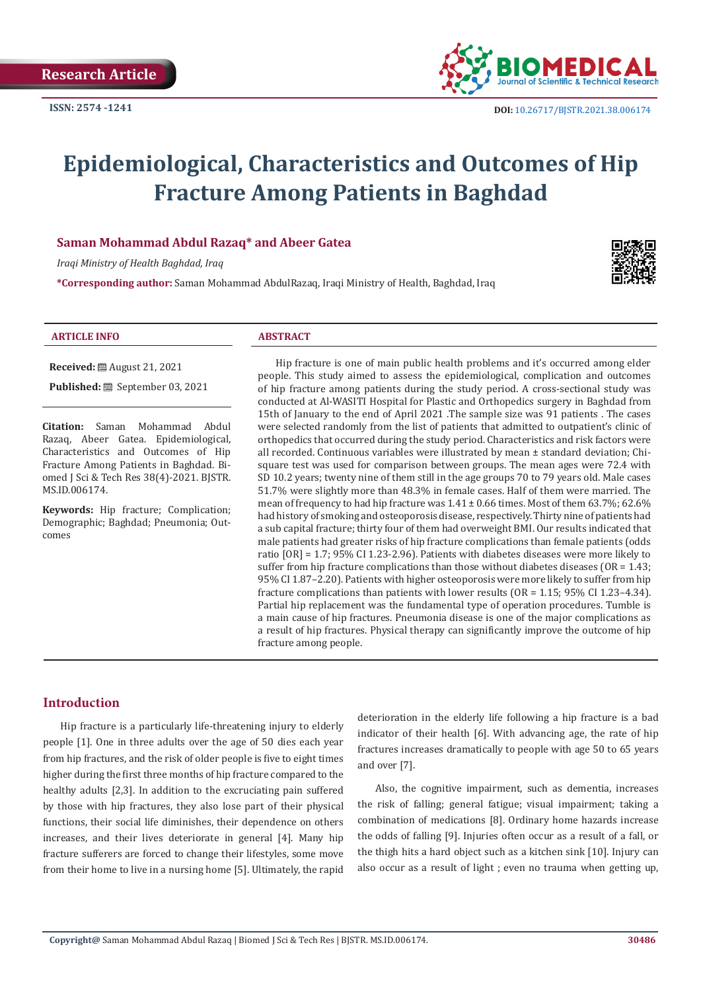

# **Epidemiological, Characteristics and Outcomes of Hip Fracture Among Patients in Baghdad**

# **Saman Mohammad Abdul Razaq\* and Abeer Gatea**

*Iraqi Ministry of Health Baghdad, Iraq*

**\*Corresponding author:** Saman Mohammad AbdulRazaq, Iraqi Ministry of Health, Baghdad, Iraq



#### **ARTICLE INFO ABSTRACT**

**Received:** August 21, 2021

**Published:** ■ September 03, 2021

**Citation:** Saman Mohammad Abdul Razaq, Abeer Gatea. Epidemiological, Characteristics and Outcomes of Hip Fracture Among Patients in Baghdad. Biomed J Sci & Tech Res 38(4)-2021. BJSTR. MS.ID.006174.

**Keywords:** Hip fracture; Complication; Demographic; Baghdad; Pneumonia; Outcomes

Hip fracture is one of main public health problems and it's occurred among elder people. This study aimed to assess the epidemiological, complication and outcomes of hip fracture among patients during the study period. A cross-sectional study was conducted at Al-WASITI Hospital for Plastic and Orthopedics surgery in Baghdad from 15th of January to the end of April 2021 .The sample size was 91 patients . The cases were selected randomly from the list of patients that admitted to outpatient's clinic of orthopedics that occurred during the study period. Characteristics and risk factors were all recorded. Continuous variables were illustrated by mean ± standard deviation; Chisquare test was used for comparison between groups. The mean ages were 72.4 with SD 10.2 years; twenty nine of them still in the age groups 70 to 79 years old. Male cases 51.7% were slightly more than 48.3% in female cases. Half of them were married. The mean of frequency to had hip fracture was  $1.41 \pm 0.66$  times. Most of them 63.7%; 62.6% had history of smoking and osteoporosis disease, respectively. Thirty nine of patients had a sub capital fracture; thirty four of them had overweight BMI. Our results indicated that male patients had greater risks of hip fracture complications than female patients (odds ratio [OR] = 1.7; 95% CI 1.23-2.96). Patients with diabetes diseases were more likely to suffer from hip fracture complications than those without diabetes diseases (OR = 1.43; 95% CI 1.87–2.20). Patients with higher osteoporosis were more likely to suffer from hip fracture complications than patients with lower results (OR = 1.15; 95% CI 1.23–4.34). Partial hip replacement was the fundamental type of operation procedures. Tumble is a main cause of hip fractures. Pneumonia disease is one of the major complications as a result of hip fractures. Physical therapy can significantly improve the outcome of hip fracture among people.

# **Introduction**

Hip fracture is a particularly life-threatening injury to elderly people [1]. One in three adults over the age of 50 dies each year from hip fractures, and the risk of older people is five to eight times higher during the first three months of hip fracture compared to the healthy adults [2,3]. In addition to the excruciating pain suffered by those with hip fractures, they also lose part of their physical functions, their social life diminishes, their dependence on others increases, and their lives deteriorate in general [4]. Many hip fracture sufferers are forced to change their lifestyles, some move from their home to live in a nursing home [5]. Ultimately, the rapid

deterioration in the elderly life following a hip fracture is a bad indicator of their health [6]. With advancing age, the rate of hip fractures increases dramatically to people with age 50 to 65 years and over [7].

Also, the cognitive impairment, such as dementia, increases the risk of falling; general fatigue; visual impairment; taking a combination of medications [8]. Ordinary home hazards increase the odds of falling [9]. Injuries often occur as a result of a fall, or the thigh hits a hard object such as a kitchen sink [10]. Injury can also occur as a result of light ; even no trauma when getting up,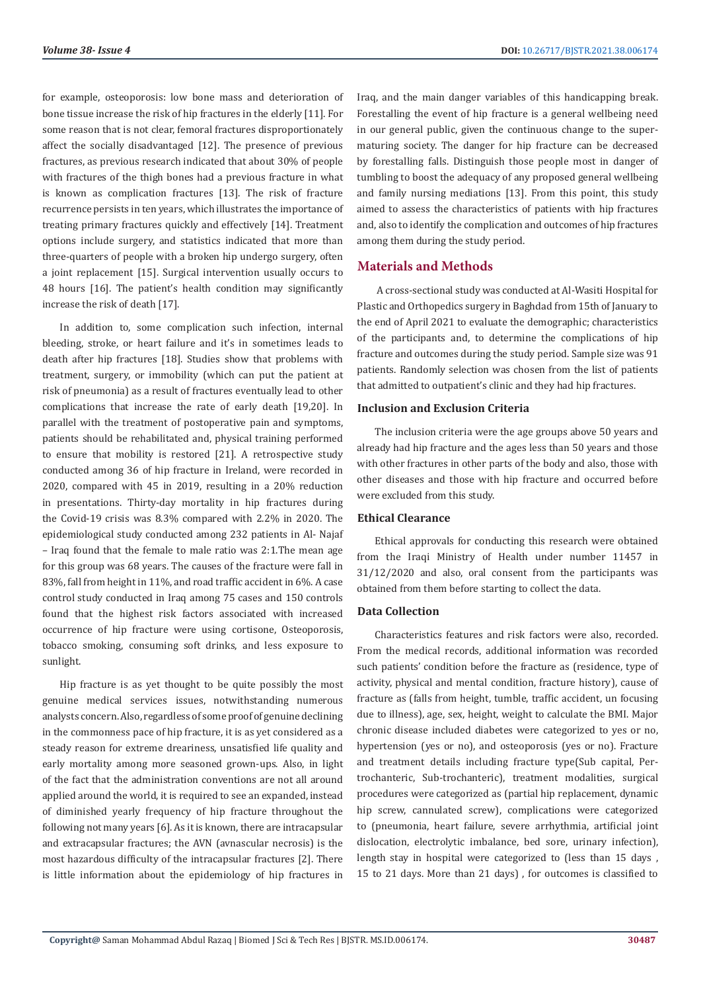for example, osteoporosis: low bone mass and deterioration of bone tissue increase the risk of hip fractures in the elderly [11]. For some reason that is not clear, femoral fractures disproportionately affect the socially disadvantaged [12]. The presence of previous fractures, as previous research indicated that about 30% of people with fractures of the thigh bones had a previous fracture in what is known as complication fractures [13]. The risk of fracture recurrence persists in ten years, which illustrates the importance of treating primary fractures quickly and effectively [14]. Treatment options include surgery, and statistics indicated that more than three-quarters of people with a broken hip undergo surgery, often a joint replacement [15]. Surgical intervention usually occurs to 48 hours [16]. The patient's health condition may significantly increase the risk of death [17].

In addition to, some complication such infection, internal bleeding, stroke, or heart failure and it's in sometimes leads to death after hip fractures [18]. Studies show that problems with treatment, surgery, or immobility (which can put the patient at risk of pneumonia) as a result of fractures eventually lead to other complications that increase the rate of early death [19,20]. In parallel with the treatment of postoperative pain and symptoms, patients should be rehabilitated and, physical training performed to ensure that mobility is restored [21]. A retrospective study conducted among 36 of hip fracture in Ireland, were recorded in 2020, compared with 45 in 2019, resulting in a 20% reduction in presentations. Thirty-day mortality in hip fractures during the Covid-19 crisis was 8.3% compared with 2.2% in 2020. The epidemiological study conducted among 232 patients in Al- Najaf – Iraq found that the female to male ratio was 2:1.The mean age for this group was 68 years. The causes of the fracture were fall in 83%, fall from height in 11%, and road traffic accident in 6%. A case control study conducted in Iraq among 75 cases and 150 controls found that the highest risk factors associated with increased occurrence of hip fracture were using cortisone, Osteoporosis, tobacco smoking, consuming soft drinks, and less exposure to sunlight.

Hip fracture is as yet thought to be quite possibly the most genuine medical services issues, notwithstanding numerous analysts concern. Also, regardless of some proof of genuine declining in the commonness pace of hip fracture, it is as yet considered as a steady reason for extreme dreariness, unsatisfied life quality and early mortality among more seasoned grown-ups. Also, in light of the fact that the administration conventions are not all around applied around the world, it is required to see an expanded, instead of diminished yearly frequency of hip fracture throughout the following not many years [6]. As it is known, there are intracapsular and extracapsular fractures; the AVN (avnascular necrosis) is the most hazardous difficulty of the intracapsular fractures [2]. There is little information about the epidemiology of hip fractures in

Iraq, and the main danger variables of this handicapping break. Forestalling the event of hip fracture is a general wellbeing need in our general public, given the continuous change to the supermaturing society. The danger for hip fracture can be decreased by forestalling falls. Distinguish those people most in danger of tumbling to boost the adequacy of any proposed general wellbeing and family nursing mediations [13]. From this point, this study aimed to assess the characteristics of patients with hip fractures and, also to identify the complication and outcomes of hip fractures among them during the study period.

# **Materials and Methods**

 A cross-sectional study was conducted at Al-Wasiti Hospital for Plastic and Orthopedics surgery in Baghdad from 15th of January to the end of April 2021 to evaluate the demographic; characteristics of the participants and, to determine the complications of hip fracture and outcomes during the study period. Sample size was 91 patients. Randomly selection was chosen from the list of patients that admitted to outpatient's clinic and they had hip fractures.

# **Inclusion and Exclusion Criteria**

The inclusion criteria were the age groups above 50 years and already had hip fracture and the ages less than 50 years and those with other fractures in other parts of the body and also, those with other diseases and those with hip fracture and occurred before were excluded from this study.

# **Ethical Clearance**

Ethical approvals for conducting this research were obtained from the Iraqi Ministry of Health under number 11457 in 31/12/2020 and also, oral consent from the participants was obtained from them before starting to collect the data.

# **Data Collection**

Characteristics features and risk factors were also, recorded. From the medical records, additional information was recorded such patients' condition before the fracture as (residence, type of activity, physical and mental condition, fracture history), cause of fracture as (falls from height, tumble, traffic accident, un focusing due to illness), age, sex, height, weight to calculate the BMI. Major chronic disease included diabetes were categorized to yes or no, hypertension (yes or no), and osteoporosis (yes or no). Fracture and treatment details including fracture type(Sub capital, Pertrochanteric, Sub-trochanteric), treatment modalities, surgical procedures were categorized as (partial hip replacement, dynamic hip screw, cannulated screw), complications were categorized to (pneumonia, heart failure, severe arrhythmia, artificial joint dislocation, electrolytic imbalance, bed sore, urinary infection), length stay in hospital were categorized to (less than 15 days , 15 to 21 days. More than 21 days) , for outcomes is classified to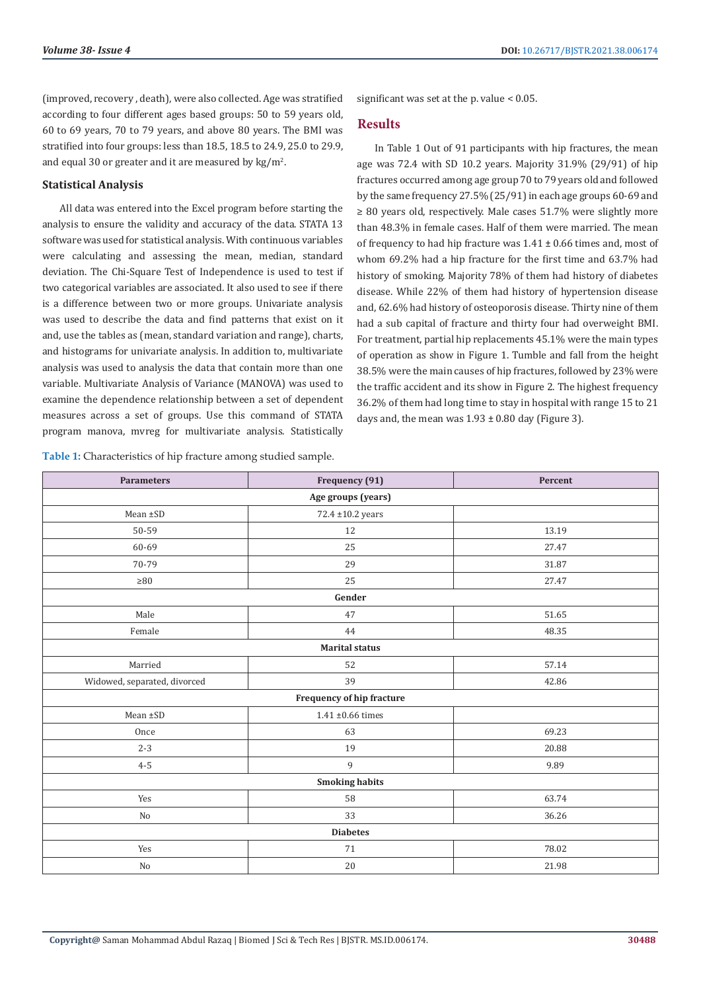(improved, recovery , death), were also collected. Age was stratified according to four different ages based groups: 50 to 59 years old, 60 to 69 years, 70 to 79 years, and above 80 years. The BMI was stratified into four groups: less than 18.5, 18.5 to 24.9, 25.0 to 29.9, and equal 30 or greater and it are measured by  $\text{kg/m}^2$ .

# **Statistical Analysis**

All data was entered into the Excel program before starting the analysis to ensure the validity and accuracy of the data. STATA 13 software was used for statistical analysis. With continuous variables were calculating and assessing the mean, median, standard deviation. The Chi-Square Test of Independence is used to test if two categorical variables are associated. It also used to see if there is a difference between two or more groups. Univariate analysis was used to describe the data and find patterns that exist on it and, use the tables as (mean, standard variation and range), charts, and histograms for univariate analysis. In addition to, multivariate analysis was used to analysis the data that contain more than one variable. Multivariate Analysis of Variance (MANOVA) was used to examine the dependence relationship between a set of dependent measures across a set of groups. Use this command of STATA program manova, mvreg for multivariate analysis. Statistically

**Table 1:** Characteristics of hip fracture among studied sample.

significant was set at the p. value < 0.05.

# **Results**

In Table 1 Out of 91 participants with hip fractures, the mean age was 72.4 with SD 10.2 years. Majority 31.9% (29/91) of hip fractures occurred among age group 70 to 79 years old and followed by the same frequency 27.5% (25/91) in each age groups 60-69 and ≥ 80 years old, respectively. Male cases 51.7% were slightly more than 48.3% in female cases. Half of them were married. The mean of frequency to had hip fracture was  $1.41 \pm 0.66$  times and, most of whom 69.2% had a hip fracture for the first time and 63.7% had history of smoking. Majority 78% of them had history of diabetes disease. While 22% of them had history of hypertension disease and, 62.6% had history of osteoporosis disease. Thirty nine of them had a sub capital of fracture and thirty four had overweight BMI. For treatment, partial hip replacements 45.1% were the main types of operation as show in Figure 1. Tumble and fall from the height 38.5% were the main causes of hip fractures, followed by 23% were the traffic accident and its show in Figure 2. The highest frequency 36.2% of them had long time to stay in hospital with range 15 to 21 days and, the mean was  $1.93 \pm 0.80$  day (Figure 3).

| <b>Parameters</b>            | Frequency (91)            | Percent |  |  |
|------------------------------|---------------------------|---------|--|--|
|                              | Age groups (years)        |         |  |  |
| Mean ±SD                     | $72.4 \pm 10.2$ years     |         |  |  |
| 50-59                        | 12                        | 13.19   |  |  |
| 60-69                        | 25                        | 27.47   |  |  |
| 70-79                        | 29                        | 31.87   |  |  |
| ${\geq}80$                   | 25                        | 27.47   |  |  |
|                              | Gender                    |         |  |  |
| Male                         | 47                        | 51.65   |  |  |
| Female                       | 44                        | 48.35   |  |  |
|                              | <b>Marital status</b>     |         |  |  |
| Married                      | 52                        | 57.14   |  |  |
| Widowed, separated, divorced | 39                        | 42.86   |  |  |
|                              | Frequency of hip fracture |         |  |  |
| Mean ±SD                     | $1.41 \pm 0.66$ times     |         |  |  |
| Once                         | 63                        | 69.23   |  |  |
| $2 - 3$                      | 19                        | 20.88   |  |  |
| $4 - 5$                      | 9                         | 9.89    |  |  |
|                              | <b>Smoking habits</b>     |         |  |  |
| Yes                          | 58                        | 63.74   |  |  |
| No                           | 33                        | 36.26   |  |  |
|                              | <b>Diabetes</b>           |         |  |  |
| Yes                          | 71                        | 78.02   |  |  |
| $\rm No$                     | $20\,$                    | 21.98   |  |  |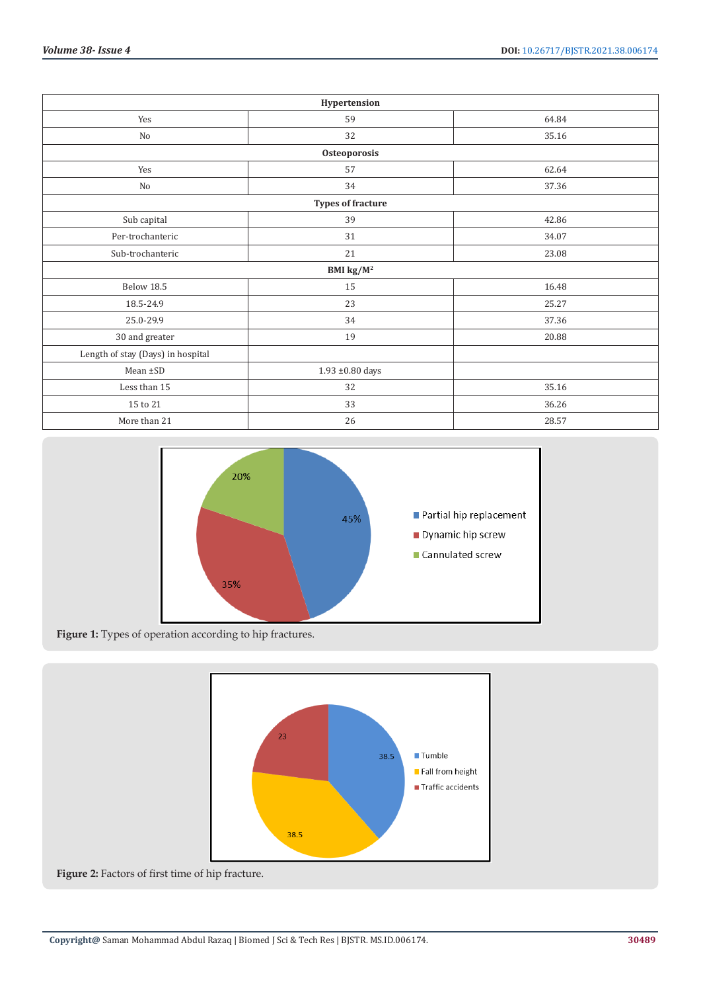|                                   | Hypertension               |       |
|-----------------------------------|----------------------------|-------|
| Yes                               | 59                         | 64.84 |
| No                                | 32                         | 35.16 |
|                                   | Osteoporosis               |       |
| Yes                               | 57                         | 62.64 |
| No                                | 34                         | 37.36 |
|                                   | <b>Types of fracture</b>   |       |
| Sub capital                       | 39                         | 42.86 |
| Per-trochanteric                  | 31                         | 34.07 |
| Sub-trochanteric                  | 21                         | 23.08 |
|                                   | BMI $\text{kg}/\text{M}^2$ |       |
| Below 18.5                        | 15                         | 16.48 |
| 18.5-24.9                         | 23                         | 25.27 |
| 25.0-29.9                         | 34                         | 37.36 |
| 30 and greater                    | 19                         | 20.88 |
| Length of stay (Days) in hospital |                            |       |
| Mean ±SD                          | 1.93 ±0.80 days            |       |
| Less than 15                      | 32                         | 35.16 |
| 15 to 21                          | 33                         | 36.26 |
| More than 21                      | 26                         | 28.57 |





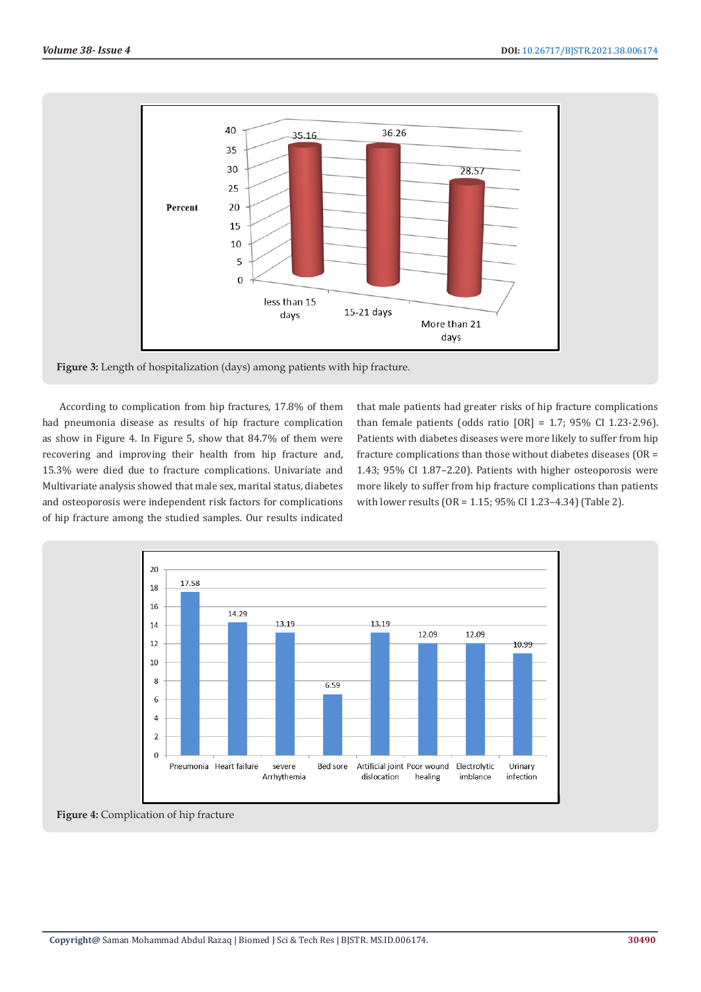

**Figure 3:** Length of hospitalization (days) among patients with hip fracture.

According to complication from hip fractures, 17.8% of them had pneumonia disease as results of hip fracture complication as show in Figure 4. In Figure 5, show that 84.7% of them were recovering and improving their health from hip fracture and, 15.3% were died due to fracture complications. Univariate and Multivariate analysis showed that male sex, marital status, diabetes and osteoporosis were independent risk factors for complications of hip fracture among the studied samples. Our results indicated

that male patients had greater risks of hip fracture complications than female patients (odds ratio  $[OR] = 1.7$ ; 95% CI 1.23-2.96). Patients with diabetes diseases were more likely to suffer from hip fracture complications than those without diabetes diseases (OR = 1.43; 95% CI 1.87–2.20). Patients with higher osteoporosis were more likely to suffer from hip fracture complications than patients with lower results (OR = 1.15; 95% CI 1.23–4.34) (Table 2).



**Figure 4:** Complication of hip fracture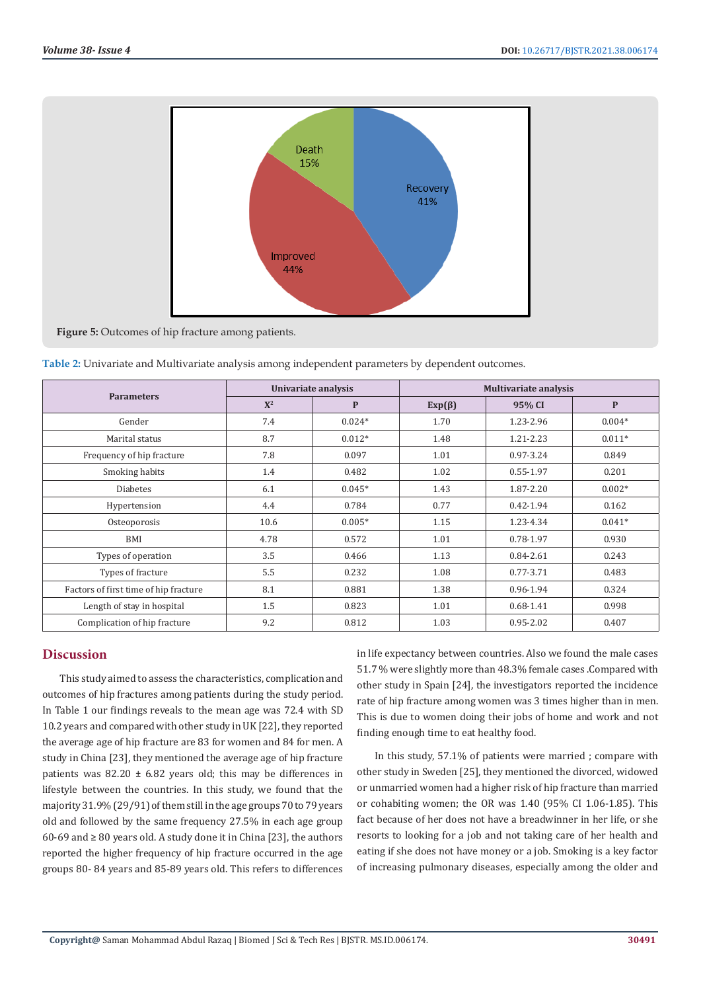

**Figure 5:** Outcomes of hip fracture among patients.

| <b>Parameters</b>                     | Univariate analysis |          | <b>Multivariate analysis</b> |               |              |  |
|---------------------------------------|---------------------|----------|------------------------------|---------------|--------------|--|
|                                       | ${\bf X}^2$         | P        | $Exp(\beta)$                 | 95% CI        | $\mathbf{P}$ |  |
| Gender                                | 7.4                 | $0.024*$ | 1.70                         | 1.23-2.96     | $0.004*$     |  |
| Marital status                        | 8.7                 | $0.012*$ | 1.48                         | 1.21-2.23     | $0.011*$     |  |
| Frequency of hip fracture             | 7.8                 | 0.097    | 1.01                         | 0.97-3.24     | 0.849        |  |
| Smoking habits                        | 1.4                 | 0.482    | 1.02                         | 0.55-1.97     | 0.201        |  |
| Diabetes                              | 6.1                 | $0.045*$ | 1.43                         | 1.87-2.20     | $0.002*$     |  |
| Hypertension                          | 4.4                 | 0.784    | 0.77                         | $0.42 - 1.94$ | 0.162        |  |
| Osteoporosis                          | 10.6                | $0.005*$ | 1.15                         | 1.23-4.34     | $0.041*$     |  |
| BMI                                   | 4.78                | 0.572    | 1.01                         | 0.78-1.97     | 0.930        |  |
| Types of operation                    | 3.5                 | 0.466    | 1.13                         | 0.84-2.61     | 0.243        |  |
| Types of fracture                     | 5.5                 | 0.232    | 1.08                         | 0.77-3.71     | 0.483        |  |
| Factors of first time of hip fracture | 8.1                 | 0.881    | 1.38                         | 0.96-1.94     | 0.324        |  |
| Length of stay in hospital            | 1.5                 | 0.823    | 1.01                         | $0.68 - 1.41$ | 0.998        |  |
| Complication of hip fracture          | 9.2                 | 0.812    | 1.03                         | $0.95 - 2.02$ | 0.407        |  |

| Table 2: Univariate and Multivariate analysis among independent parameters by dependent outcomes. |  |  |  |  |  |
|---------------------------------------------------------------------------------------------------|--|--|--|--|--|
|---------------------------------------------------------------------------------------------------|--|--|--|--|--|

# **Discussion**

This study aimed to assess the characteristics, complication and outcomes of hip fractures among patients during the study period. In Table 1 our findings reveals to the mean age was 72.4 with SD 10.2 years and compared with other study in UK [22], they reported the average age of hip fracture are 83 for women and 84 for men. A study in China [23], they mentioned the average age of hip fracture patients was  $82.20 \pm 6.82$  years old; this may be differences in lifestyle between the countries. In this study, we found that the majority 31.9% (29/91) of them still in the age groups 70 to 79 years old and followed by the same frequency 27.5% in each age group 60-69 and ≥ 80 years old. A study done it in China [23], the authors reported the higher frequency of hip fracture occurred in the age groups 80- 84 years and 85-89 years old. This refers to differences

in life expectancy between countries. Also we found the male cases 51.7 % were slightly more than 48.3% female cases .Compared with other study in Spain [24], the investigators reported the incidence rate of hip fracture among women was 3 times higher than in men. This is due to women doing their jobs of home and work and not finding enough time to eat healthy food.

In this study, 57.1% of patients were married ; compare with other study in Sweden [25], they mentioned the divorced, widowed or unmarried women had a higher risk of hip fracture than married or cohabiting women; the OR was 1.40 (95% CI 1.06-1.85). This fact because of her does not have a breadwinner in her life, or she resorts to looking for a job and not taking care of her health and eating if she does not have money or a job. Smoking is a key factor of increasing pulmonary diseases, especially among the older and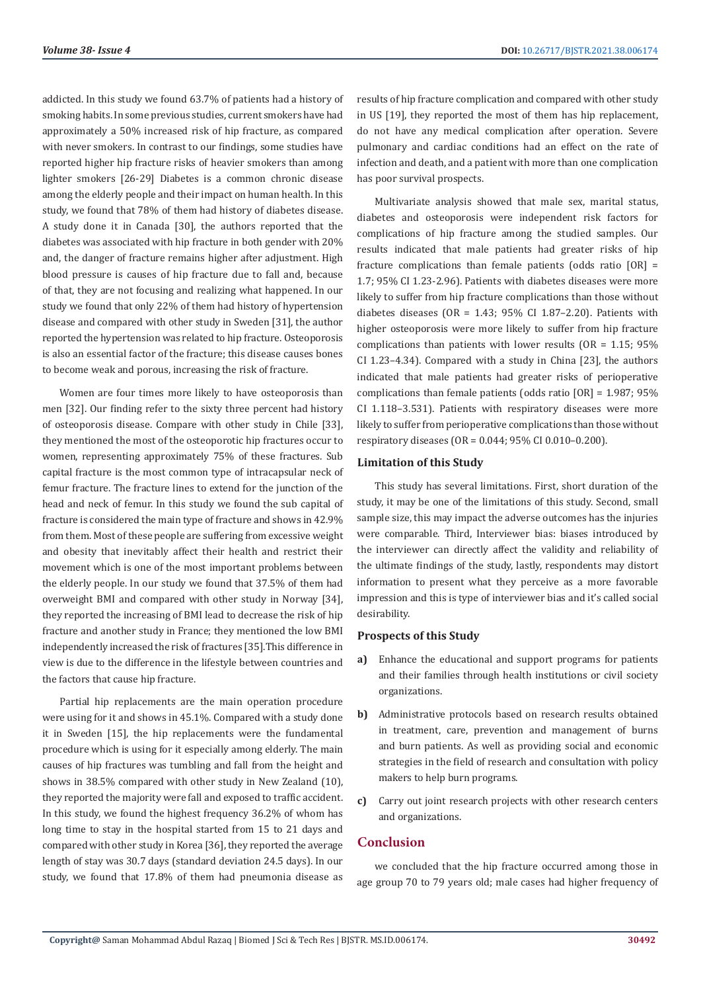addicted. In this study we found 63.7% of patients had a history of smoking habits. In some previous studies, current smokers have had approximately a 50% increased risk of hip fracture, as compared with never smokers. In contrast to our findings, some studies have reported higher hip fracture risks of heavier smokers than among lighter smokers [26-29] Diabetes is a common chronic disease among the elderly people and their impact on human health. In this study, we found that 78% of them had history of diabetes disease. A study done it in Canada [30], the authors reported that the diabetes was associated with hip fracture in both gender with 20% and, the danger of fracture remains higher after adjustment. High blood pressure is causes of hip fracture due to fall and, because of that, they are not focusing and realizing what happened. In our study we found that only 22% of them had history of hypertension disease and compared with other study in Sweden [31], the author reported the hypertension was related to hip fracture. Osteoporosis is also an essential factor of the fracture; this disease causes bones to become weak and porous, increasing the risk of fracture.

Women are four times more likely to have osteoporosis than men [32]. Our finding refer to the sixty three percent had history of osteoporosis disease. Compare with other study in Chile [33], they mentioned the most of the osteoporotic hip fractures occur to women, representing approximately 75% of these fractures. Sub capital fracture is the most common type of intracapsular neck of femur fracture. The fracture lines to extend for the junction of the head and neck of femur. In this study we found the sub capital of fracture is considered the main type of fracture and shows in 42.9% from them. Most of these people are suffering from excessive weight and obesity that inevitably affect their health and restrict their movement which is one of the most important problems between the elderly people. In our study we found that 37.5% of them had overweight BMI and compared with other study in Norway [34], they reported the increasing of BMI lead to decrease the risk of hip fracture and another study in France; they mentioned the low BMI independently increased the risk of fractures [35].This difference in view is due to the difference in the lifestyle between countries and the factors that cause hip fracture.

Partial hip replacements are the main operation procedure were using for it and shows in 45.1%. Compared with a study done it in Sweden [15], the hip replacements were the fundamental procedure which is using for it especially among elderly. The main causes of hip fractures was tumbling and fall from the height and shows in 38.5% compared with other study in New Zealand (10), they reported the majority were fall and exposed to traffic accident. In this study, we found the highest frequency 36.2% of whom has long time to stay in the hospital started from 15 to 21 days and compared with other study in Korea [36], they reported the average length of stay was 30.7 days (standard deviation 24.5 days). In our study, we found that 17.8% of them had pneumonia disease as results of hip fracture complication and compared with other study in US [19], they reported the most of them has hip replacement, do not have any medical complication after operation. Severe pulmonary and cardiac conditions had an effect on the rate of infection and death, and a patient with more than one complication has poor survival prospects.

Multivariate analysis showed that male sex, marital status, diabetes and osteoporosis were independent risk factors for complications of hip fracture among the studied samples. Our results indicated that male patients had greater risks of hip fracture complications than female patients (odds ratio  $[OR] =$ 1.7; 95% CI 1.23-2.96). Patients with diabetes diseases were more likely to suffer from hip fracture complications than those without diabetes diseases (OR =  $1.43$ ;  $95\%$  CI 1.87-2.20). Patients with higher osteoporosis were more likely to suffer from hip fracture complications than patients with lower results (OR = 1.15; 95% CI 1.23–4.34). Compared with a study in China [23], the authors indicated that male patients had greater risks of perioperative complications than female patients (odds ratio [OR] = 1.987; 95% CI 1.118–3.531). Patients with respiratory diseases were more likely to suffer from perioperative complications than those without respiratory diseases (OR = 0.044; 95% CI 0.010–0.200).

# **Limitation of this Study**

This study has several limitations. First, short duration of the study, it may be one of the limitations of this study. Second, small sample size, this may impact the adverse outcomes has the injuries were comparable. Third, Interviewer bias: biases introduced by the interviewer can directly affect the validity and reliability of the ultimate findings of the study, lastly, respondents may distort information to present what they perceive as a more favorable impression and this is type of interviewer bias and it's called social desirability.

# **Prospects of this Study**

- **a)** Enhance the educational and support programs for patients and their families through health institutions or civil society organizations.
- **b)** Administrative protocols based on research results obtained in treatment, care, prevention and management of burns and burn patients. As well as providing social and economic strategies in the field of research and consultation with policy makers to help burn programs.
- **c)** Carry out joint research projects with other research centers and organizations.

# **Conclusion**

we concluded that the hip fracture occurred among those in age group 70 to 79 years old; male cases had higher frequency of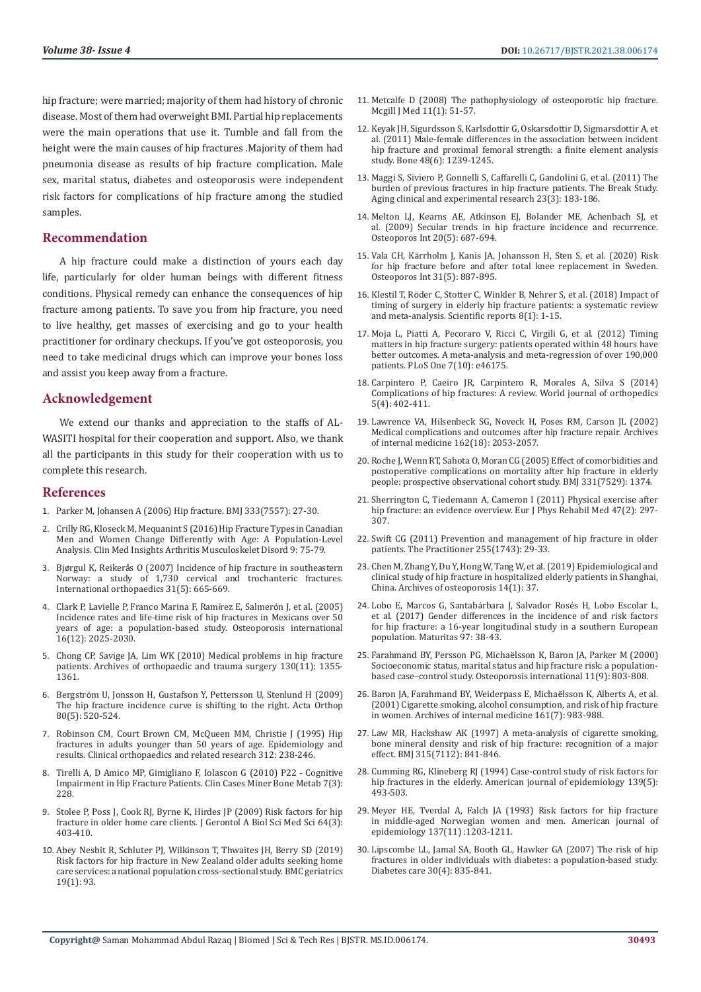hip fracture; were married; majority of them had history of chronic disease. Most of them had overweight BMI. Partial hip replacements were the main operations that use it. Tumble and fall from the height were the main causes of hip fractures .Majority of them had pneumonia disease as results of hip fracture complication. Male sex, marital status, diabetes and osteoporosis were independent risk factors for complications of hip fracture among the studied samples.

# **Recommendation**

A hip fracture could make a distinction of yours each day life, particularly for older human beings with different fitness conditions. Physical remedy can enhance the consequences of hip fracture among patients. To save you from hip fracture, you need to live healthy, get masses of exercising and go to your health practitioner for ordinary checkups. If you've got osteoporosis, you need to take medicinal drugs which can improve your bones loss and assist you keep away from a fracture.

# **Acknowledgement**

We extend our thanks and appreciation to the staffs of AL-WASITI hospital for their cooperation and support. Also, we thank all the participants in this study for their cooperation with us to complete this research.

## **References**

- 1. [Parker M, Johansen A \(2006\) Hip fracture. BMJ 333\(7557\): 27-30.](https://pubmed.ncbi.nlm.nih.gov/16809710/)
- 2. [Crilly RG, Kloseck M, Mequanint S \(2016\) Hip Fracture Types in Canadian](https://www.ncbi.nlm.nih.gov/pmc/articles/PMC4856061/)  [Men and Women Change Differently with Age: A Population-Level](https://www.ncbi.nlm.nih.gov/pmc/articles/PMC4856061/)  [Analysis. Clin Med Insights Arthritis Musculoskelet Disord 9: 75-79.](https://www.ncbi.nlm.nih.gov/pmc/articles/PMC4856061/)
- 3. Bjørgul K, Reikerå[s O \(2007\) Incidence of hip fracture in southeastern](https://pubmed.ncbi.nlm.nih.gov/17033761/)  [Norway: a study of 1,730 cervical and trochanteric fractures.](https://pubmed.ncbi.nlm.nih.gov/17033761/)  [International orthopaedics 31\(5\): 665-669.](https://pubmed.ncbi.nlm.nih.gov/17033761/)
- 4. Clark P, Lavielle P, Franco Marina F, Ramírez E, Salmerón J, et al. (2005) Incidence rates and life-time risk of hip fractures in Mexicans over 50 years of age: a population-based study. Osteoporosis international 16(12): 2025-2030.
- 5. [Chong CP, Savige JA, Lim WK \(2010\) Medical problems in hip fracture](https://pubmed.ncbi.nlm.nih.gov/20049603/)  [patients. Archives of orthopaedic and trauma surgery 130\(11\): 1355-](https://pubmed.ncbi.nlm.nih.gov/20049603/) [1361.](https://pubmed.ncbi.nlm.nih.gov/20049603/)
- 6. Bergströ[m U, Jonsson H, Gustafson Y, Pettersson U, Stenlund H \(2009\)](https://www.ncbi.nlm.nih.gov/pmc/articles/PMC2823331/)  [The hip fracture incidence curve is shifting to the right. Acta Orthop](https://www.ncbi.nlm.nih.gov/pmc/articles/PMC2823331/)  [80\(5\): 520-524.](https://www.ncbi.nlm.nih.gov/pmc/articles/PMC2823331/)
- 7. [Robinson CM, Court Brown CM, McQueen MM, Christie J \(1995\) Hip](https://pubmed.ncbi.nlm.nih.gov/7634609/)  [fractures in adults younger than 50 years of age. Epidemiology and](https://pubmed.ncbi.nlm.nih.gov/7634609/)  [results. Clinical orthopaedics and related research 312: 238-246.](https://pubmed.ncbi.nlm.nih.gov/7634609/)
- 8. [Tirelli A, D Amico MP, Gimigliano F, Iolascon G \(2010\) P22 Cognitive](https://www.ncbi.nlm.nih.gov/pmc/articles/PMC3213850/)  [Impairment in Hip Fracture Patients. Clin Cases Miner Bone Metab 7\(3\):](https://www.ncbi.nlm.nih.gov/pmc/articles/PMC3213850/)  [228.](https://www.ncbi.nlm.nih.gov/pmc/articles/PMC3213850/)
- 9. [Stolee P, Poss J, Cook RJ, Byrne K, Hirdes JP \(2009\) Risk factors for hip](https://www.ncbi.nlm.nih.gov/pmc/articles/PMC2654998/)  [fracture in older home care clients. J Gerontol A Biol Sci Med Sci 64\(3\):](https://www.ncbi.nlm.nih.gov/pmc/articles/PMC2654998/)  [403-410.](https://www.ncbi.nlm.nih.gov/pmc/articles/PMC2654998/)
- 10. [Abey Nesbit R, Schluter PJ, Wilkinson T, Thwaites JH, Berry SD \(2019\)](https://bmcgeriatr.biomedcentral.com/articles/10.1186/s12877-019-1107-1)  [Risk factors for hip fracture in New Zealand older adults seeking home](https://bmcgeriatr.biomedcentral.com/articles/10.1186/s12877-019-1107-1)  [care services: a national population cross-sectional study. BMC geriatrics](https://bmcgeriatr.biomedcentral.com/articles/10.1186/s12877-019-1107-1)  [19\(1\): 93.](https://bmcgeriatr.biomedcentral.com/articles/10.1186/s12877-019-1107-1)
- 11. Metcalfe D (2008) The pathophysiology of osteoporotic hip fracture. Mcgill J Med 11(1): 51-57.
- 12. [Keyak JH, Sigurdsson S, Karlsdottir G, Oskarsdottir D, Sigmarsdottir A, et](https://www.infona.pl/resource/bwmeta1.element.elsevier-0006a9cf-21f7-37e4-a569-f72ba04d5664) [al. \(2011\) Male-female differences in the association between incident](https://www.infona.pl/resource/bwmeta1.element.elsevier-0006a9cf-21f7-37e4-a569-f72ba04d5664) [hip fracture and proximal femoral strength: a finite element analysis](https://www.infona.pl/resource/bwmeta1.element.elsevier-0006a9cf-21f7-37e4-a569-f72ba04d5664) [study. Bone 48\(6\): 1239-1245.](https://www.infona.pl/resource/bwmeta1.element.elsevier-0006a9cf-21f7-37e4-a569-f72ba04d5664)
- 13. [Maggi S, Siviero P, Gonnelli S, Caffarelli C, Gandolini G, et al. \(2011\) The](https://pubmed.ncbi.nlm.nih.gov/21993164/) [burden of previous fractures in hip fracture patients. The Break Study.](https://pubmed.ncbi.nlm.nih.gov/21993164/) [Aging clinical and experimental research 23\(3\): 183-186.](https://pubmed.ncbi.nlm.nih.gov/21993164/)
- 14. [Melton LJ, Kearns AE, Atkinson EJ, Bolander ME, Achenbach SJ, et](https://pubmed.ncbi.nlm.nih.gov/18797813/) [al. \(2009\) Secular trends in hip fracture incidence and recurrence.](https://pubmed.ncbi.nlm.nih.gov/18797813/) [Osteoporos Int 20\(5\): 687-694.](https://pubmed.ncbi.nlm.nih.gov/18797813/)
- 15. Vala CH, Kärrholm J, Kanis JA, Johansson H, Sten S, et al. (2020) Risk for hip fracture before and after total knee replacement in Sweden. Osteoporos Int 31(5): 887-895.
- 16. Klestil T, Rö[der C, Stotter C, Winkler B, Nehrer S, et al. \(2018\) Impact of](https://pubmed.ncbi.nlm.nih.gov/30224765/) [timing of surgery in elderly hip fracture patients: a systematic review](https://pubmed.ncbi.nlm.nih.gov/30224765/) [and meta-analysis. Scientific reports 8\(1\): 1-15.](https://pubmed.ncbi.nlm.nih.gov/30224765/)
- 17. [Moja L, Piatti A, Pecoraro V, Ricci C, Virgili G, et al. \(2012\) Timing](https://pubmed.ncbi.nlm.nih.gov/23056256/) [matters in hip fracture surgery: patients operated within 48 hours have](https://pubmed.ncbi.nlm.nih.gov/23056256/) [better outcomes. A meta-analysis and meta-regression of over 190,000](https://pubmed.ncbi.nlm.nih.gov/23056256/) [patients. PLoS One 7\(10\): e46175.](https://pubmed.ncbi.nlm.nih.gov/23056256/)
- 18. [Carpintero P, Caeiro JR, Carpintero R, Morales A, Silva S \(2014\)](https://pubmed.ncbi.nlm.nih.gov/25232517/) [Complications of hip fractures: A review. World journal of orthopedics](https://pubmed.ncbi.nlm.nih.gov/25232517/) [5\(4\): 402-411.](https://pubmed.ncbi.nlm.nih.gov/25232517/)
- 19. [Lawrence VA, Hilsenbeck SG, Noveck H, Poses RM, Carson JL \(2002\)](https://pubmed.ncbi.nlm.nih.gov/12374513/) [Medical complications and outcomes after hip fracture repair. Archives](https://pubmed.ncbi.nlm.nih.gov/12374513/) [of internal medicine 162\(18\): 2053-2057.](https://pubmed.ncbi.nlm.nih.gov/12374513/)
- 20. [Roche J, Wenn RT, Sahota O, Moran CG \(2005\) Effect of comorbidities and](https://pubmed.ncbi.nlm.nih.gov/16299013/) [postoperative complications on mortality after hip fracture in elderly](https://pubmed.ncbi.nlm.nih.gov/16299013/) [people: prospective observational cohort study. BMJ 331\(7529\): 1374.](https://pubmed.ncbi.nlm.nih.gov/16299013/)
- 21. [Sherrington C, Tiedemann A, Cameron I \(2011\) Physical exercise after](https://pubmed.ncbi.nlm.nih.gov/21555983/) [hip fracture: an evidence overview. Eur J Phys Rehabil Med 47\(2\): 297-](https://pubmed.ncbi.nlm.nih.gov/21555983/) [307.](https://pubmed.ncbi.nlm.nih.gov/21555983/)
- 22. [Swift CG \(2011\) Prevention and management of hip fracture in older](https://pubmed.ncbi.nlm.nih.gov/22032113/) [patients. The Practitioner 255\(1743\): 29-33.](https://pubmed.ncbi.nlm.nih.gov/22032113/)
- 23. [Chen M, Zhang Y, Du Y, Hong W, Tang W, et al. \(2019\) Epidemiological and](https://pubmed.ncbi.nlm.nih.gov/30868420/) [clinical study of hip fracture in hospitalized elderly patients in Shanghai,](https://pubmed.ncbi.nlm.nih.gov/30868420/) [China. Archives of osteoporosis 14\(1\): 37.](https://pubmed.ncbi.nlm.nih.gov/30868420/)
- 24. [Lobo E, Marcos G, Santab](https://pubmed.ncbi.nlm.nih.gov/28159060/)árbara J, Salvador Rosés H, Lobo Escolar L, [et al. \(2017\) Gender differences in the incidence of and risk factors](https://pubmed.ncbi.nlm.nih.gov/28159060/) [for hip fracture: a 16-year longitudinal study in a southern European](https://pubmed.ncbi.nlm.nih.gov/28159060/) [population. Maturitas 97: 38-43.](https://pubmed.ncbi.nlm.nih.gov/28159060/)
- 25. Farahmand BY, Persson PG, Michaë[lsson K, Baron JA, Parker M \(2000\)](https://pubmed.ncbi.nlm.nih.gov/11148808/) [Socioeconomic status, marital status and hip fracture risk: a population](https://pubmed.ncbi.nlm.nih.gov/11148808/)[based case–control study. Osteoporosis international 11\(9\): 803-808.](https://pubmed.ncbi.nlm.nih.gov/11148808/)
- 26. [Baron JA, Farahmand BY, Weiderpass E, Micha](https://pubmed.ncbi.nlm.nih.gov/11295961/)ëlsson K, Alberts A, et al. [\(2001\) Cigarette smoking, alcohol consumption, and risk of hip fracture](https://pubmed.ncbi.nlm.nih.gov/11295961/) [in women. Archives of internal medicine 161\(7\): 983-988.](https://pubmed.ncbi.nlm.nih.gov/11295961/)
- 27. [Law MR, Hackshaw AK \(1997\) A meta-analysis of cigarette smoking,](https://pubmed.ncbi.nlm.nih.gov/9353503/) [bone mineral density and risk of hip fracture: recognition of a major](https://pubmed.ncbi.nlm.nih.gov/9353503/) [effect. BMJ 315\(7112\): 841-846.](https://pubmed.ncbi.nlm.nih.gov/9353503/)
- 28. [Cumming RG, Klineberg RJ \(1994\) Case-control study of risk factors for](https://pubmed.ncbi.nlm.nih.gov/8154473/) [hip fractures in the elderly. American journal of epidemiology 139\(5\):](https://pubmed.ncbi.nlm.nih.gov/8154473/) [493-503.](https://pubmed.ncbi.nlm.nih.gov/8154473/)
- 29. Meyer HE, Tverdal A, Falch JA (1993) Risk factors for hip fracture in middle-aged Norwegian women and men. American journal of epidemiology 137(11) :1203-1211.
- 30. [Lipscombe LL, Jamal SA, Booth GL, Hawker GA \(2007\) The risk of hip](https://pubmed.ncbi.nlm.nih.gov/17392544/) [fractures in older individuals with diabetes: a population-based study.](https://pubmed.ncbi.nlm.nih.gov/17392544/) [Diabetes care 30\(4\): 835-841.](https://pubmed.ncbi.nlm.nih.gov/17392544/)